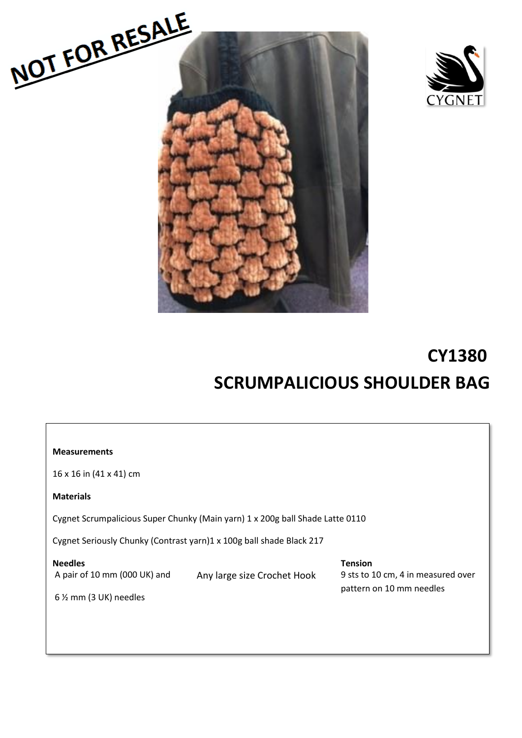



# **CY1380 SCRUMPALICIOUS SHOULDER BAG**

| <b>Measurements</b>                                                           |                             |                                                                                  |
|-------------------------------------------------------------------------------|-----------------------------|----------------------------------------------------------------------------------|
| 16 x 16 in (41 x 41) cm                                                       |                             |                                                                                  |
| <b>Materials</b>                                                              |                             |                                                                                  |
| Cygnet Scrumpalicious Super Chunky (Main yarn) 1 x 200g ball Shade Latte 0110 |                             |                                                                                  |
| Cygnet Seriously Chunky (Contrast yarn)1 x 100g ball shade Black 217          |                             |                                                                                  |
| <b>Needles</b><br>A pair of 10 mm (000 UK) and<br>$6\%$ mm (3 UK) needles     | Any large size Crochet Hook | <b>Tension</b><br>9 sts to 10 cm, 4 in measured over<br>pattern on 10 mm needles |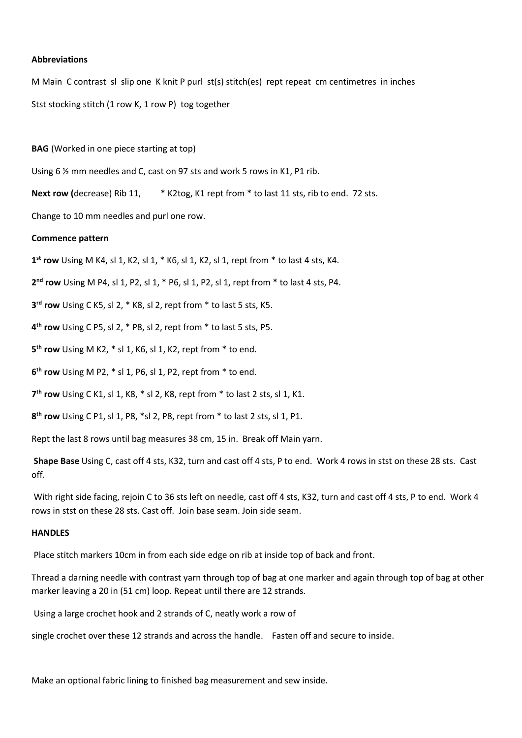### **Abbreviations**

M Main C contrast sl slip one K knit P purl st(s) stitch(es) rept repeat cm centimetres in inches Stst stocking stitch (1 row K, 1 row P) tog together

#### **BAG** (Worked in one piece starting at top)

Using 6 % mm needles and C, cast on 97 sts and work 5 rows in K1, P1 rib.

**Next row (**decrease) Rib 11, \* K2tog, K1 rept from \* to last 11 sts, rib to end. 72 sts.

Change to 10 mm needles and purl one row.

#### **Commence pattern**

**1 st row** Using M K4, sl 1, K2, sl 1, \* K6, sl 1, K2, sl 1, rept from \* to last 4 sts, K4.

**2 nd row** Using M P4, sl 1, P2, sl 1, \* P6, sl 1, P2, sl 1, rept from \* to last 4 sts, P4.

**3 rd row** Using C K5, sl 2, \* K8, sl 2, rept from \* to last 5 sts, K5.

**4 th row** Using C P5, sl 2, \* P8, sl 2, rept from \* to last 5 sts, P5.

**5 th row** Using M K2, \* sl 1, K6, sl 1, K2, rept from \* to end.

**6 th row** Using M P2, \* sl 1, P6, sl 1, P2, rept from \* to end.

**7 th row** Using C K1, sl 1, K8, \* sl 2, K8, rept from \* to last 2 sts, sl 1, K1.

**8 th row** Using C P1, sl 1, P8, \*sl 2, P8, rept from \* to last 2 sts, sl 1, P1.

Rept the last 8 rows until bag measures 38 cm, 15 in. Break off Main yarn.

**Shape Base** Using C, cast off 4 sts, K32, turn and cast off 4 sts, P to end. Work 4 rows in stst on these 28 sts. Cast off.

With right side facing, rejoin C to 36 sts left on needle, cast off 4 sts, K32, turn and cast off 4 sts, P to end. Work 4 rows in stst on these 28 sts. Cast off. Join base seam. Join side seam.

#### **HANDLES**

Place stitch markers 10cm in from each side edge on rib at inside top of back and front.

Thread a darning needle with contrast yarn through top of bag at one marker and again through top of bag at other marker leaving a 20 in (51 cm) loop. Repeat until there are 12 strands.

Using a large crochet hook and 2 strands of C, neatly work a row of

single crochet over these 12 strands and across the handle. Fasten off and secure to inside.

Make an optional fabric lining to finished bag measurement and sew inside.